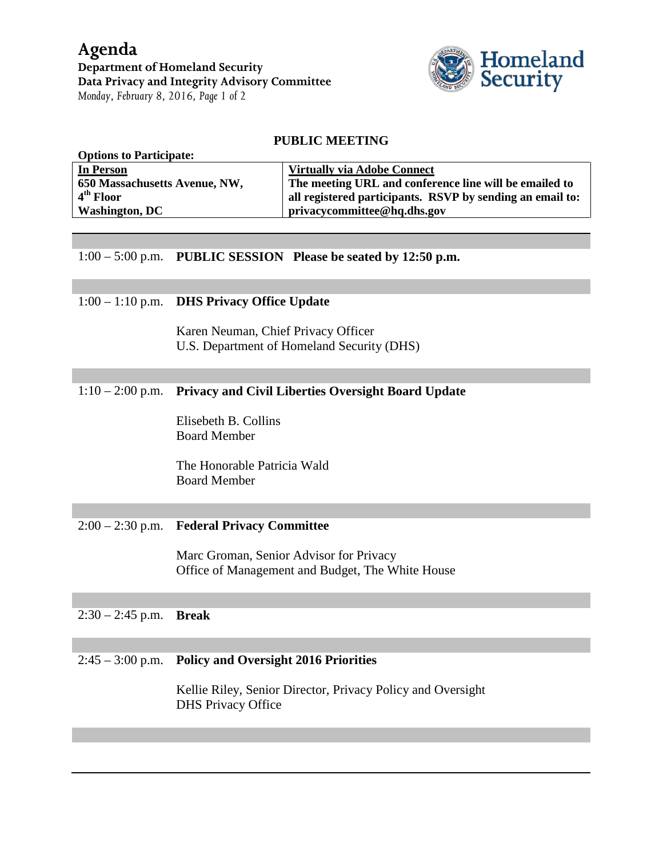

## **PUBLIC MEETING**

| <b>Options to Participate:</b> |                                                           |
|--------------------------------|-----------------------------------------------------------|
| In Person                      | <b>Virtually via Adobe Connect</b>                        |
| 650 Massachusetts Avenue, NW,  | The meeting URL and conference line will be emailed to    |
| $4th$ Floor                    | all registered participants. RSVP by sending an email to: |
| <b>Washington, DC</b>          | privacycommittee@hq.dhs.gov                               |
|                                |                                                           |

1:00 – 5:00 p.m. **PUBLIC SESSION Please be seated by 12:50 p.m.**

## 1:00 – 1:10 p.m. **DHS Privacy Office Update**

Karen Neuman, Chief Privacy Officer U.S. Department of Homeland Security (DHS)

## 1:10 – 2:00 p.m. **Privacy and Civil Liberties Oversight Board Update**

Elisebeth B. Collins Board Member

The Honorable Patricia Wald Board Member

## 2:00 – 2:30 p.m. **Federal Privacy Committee**

Marc Groman, Senior Advisor for Privacy Office of Management and Budget, The White House

## 2:30 – 2:45 p.m. **Break**

### 2:45 – 3:00 p.m. **Policy and Oversight 2016 Priorities**

Kellie Riley, Senior Director, Privacy Policy and Oversight DHS Privacy Office